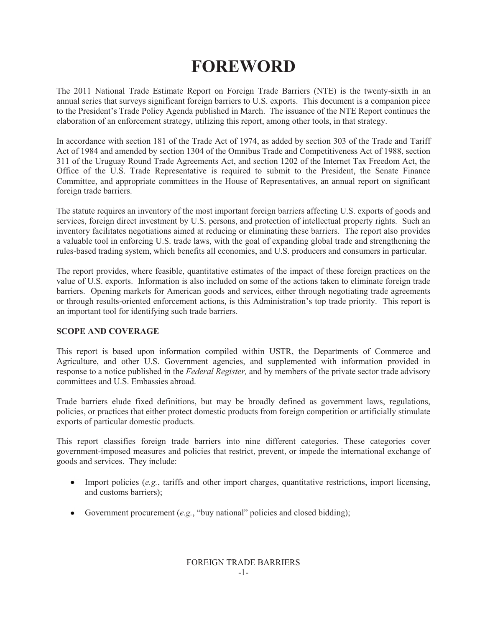# **FOREWORD**

The 2011 National Trade Estimate Report on Foreign Trade Barriers (NTE) is the twenty-sixth in an annual series that surveys significant foreign barriers to U.S. exports. This document is a companion piece to the President's Trade Policy Agenda published in March. The issuance of the NTE Report continues the elaboration of an enforcement strategy, utilizing this report, among other tools, in that strategy.

In accordance with section 181 of the Trade Act of 1974, as added by section 303 of the Trade and Tariff Act of 1984 and amended by section 1304 of the Omnibus Trade and Competitiveness Act of 1988, section 311 of the Uruguay Round Trade Agreements Act, and section 1202 of the Internet Tax Freedom Act, the Office of the U.S. Trade Representative is required to submit to the President, the Senate Finance Committee, and appropriate committees in the House of Representatives, an annual report on significant foreign trade barriers.

The statute requires an inventory of the most important foreign barriers affecting U.S. exports of goods and services, foreign direct investment by U.S. persons, and protection of intellectual property rights. Such an inventory facilitates negotiations aimed at reducing or eliminating these barriers. The report also provides a valuable tool in enforcing U.S. trade laws, with the goal of expanding global trade and strengthening the rules-based trading system, which benefits all economies, and U.S. producers and consumers in particular.

The report provides, where feasible, quantitative estimates of the impact of these foreign practices on the value of U.S. exports. Information is also included on some of the actions taken to eliminate foreign trade barriers. Opening markets for American goods and services, either through negotiating trade agreements or through results-oriented enforcement actions, is this Administration's top trade priority. This report is an important tool for identifying such trade barriers.

## **SCOPE AND COVERAGE**

This report is based upon information compiled within USTR, the Departments of Commerce and Agriculture, and other U.S. Government agencies, and supplemented with information provided in response to a notice published in the *Federal Register,* and by members of the private sector trade advisory committees and U.S. Embassies abroad.

Trade barriers elude fixed definitions, but may be broadly defined as government laws, regulations, policies, or practices that either protect domestic products from foreign competition or artificially stimulate exports of particular domestic products.

This report classifies foreign trade barriers into nine different categories. These categories cover government-imposed measures and policies that restrict, prevent, or impede the international exchange of goods and services. They include:

- Import policies (*e.g.*, tariffs and other import charges, quantitative restrictions, import licensing, and customs barriers);
- Government procurement (*e.g.*, "buy national" policies and closed bidding);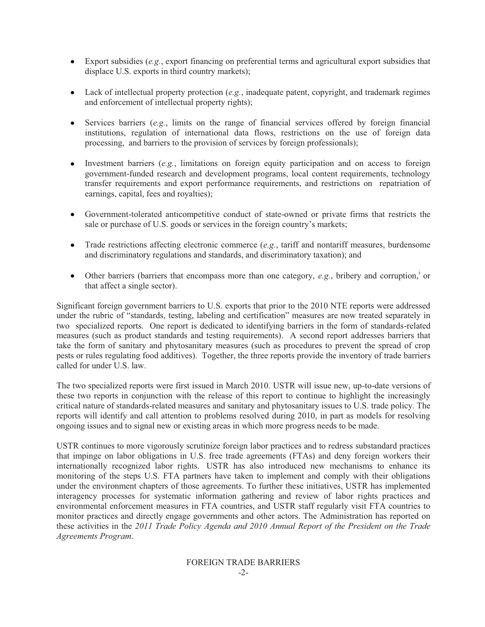- Export subsidies (*e.g.*, export financing on preferential terms and agricultural export subsidies that displace U.S. exports in third country markets):
- Lack of intellectual property protection (*e.g.*, inadequate patent, copyright, and trademark regimes  $\bullet$ and enforcement of intellectual property rights);
- Services barriers (*e.g.*, limits on the range of financial services offered by foreign financial institutions, regulation of international data flows, restrictions on the use of foreign data processing, and barriers to the provision of services by foreign professionals);
- Investment barriers (*e.g.*, limitations on foreign equity participation and on access to foreign  $\bullet$ government-funded research and development programs, local content requirements, technology transfer requirements and export performance requirements, and restrictions on repatriation of earnings, capital, fees and royalties);
- Government-tolerated anticompetitive conduct of state-owned or private firms that restricts the sale or purchase of U.S. goods or services in the foreign country's markets;
- Trade restrictions affecting electronic commerce (*e.g.*, tariff and nontariff measures, burdensome and discriminatory regulations and standards, and discriminatory taxation); and
- Other barriers (barriers that encompass more than one category,  $e.g.,$  bribery and corruption,<sup>i</sup> or that affect a single sector).

Significant foreign government barriers to U.S. exports that prior to the 2010 NTE reports were addressed under the rubric of "standards, testing, labeling and certification" measures are now treated separately in two specialized reports. One report is dedicated to identifying barriers in the form of standards-related measures (such as product standards and testing requirements). A second report addresses barriers that take the form of sanitary and phytosanitary measures (such as procedures to prevent the spread of crop pests or rules regulating food additives). Together, the three reports provide the inventory of trade barriers called for under U.S. law.

The two specialized reports were first issued in March 2010. USTR will issue new, up-to-date versions of these two reports in conjunction with the release of this report to continue to highlight the increasingly critical nature of standards-related measures and sanitary and phytosanitary issues to U.S. trade policy. The reports will identify and call attention to problems resolved during 2010, in part as models for resolving ongoing issues and to signal new or existing areas in which more progress needs to be made.

USTR continues to more vigorously scrutinize foreign labor practices and to redress substandard practices that impinge on labor obligations in U.S. free trade agreements (FTAs) and deny foreign workers their internationally recognized labor rights. USTR has also introduced new mechanisms to enhance its monitoring of the steps U.S. FTA partners have taken to implement and comply with their obligations under the environment chapters of those agreements. To further these initiatives, USTR has implemented interagency processes for systematic information gathering and review of labor rights practices and environmental enforcement measures in FTA countries, and USTR staff regularly visit FTA countries to monitor practices and directly engage governments and other actors. The Administration has reported on these activities in the *2011 Trade Policy Agenda and 2010 Annual Report of the President on the Trade Agreements Program*.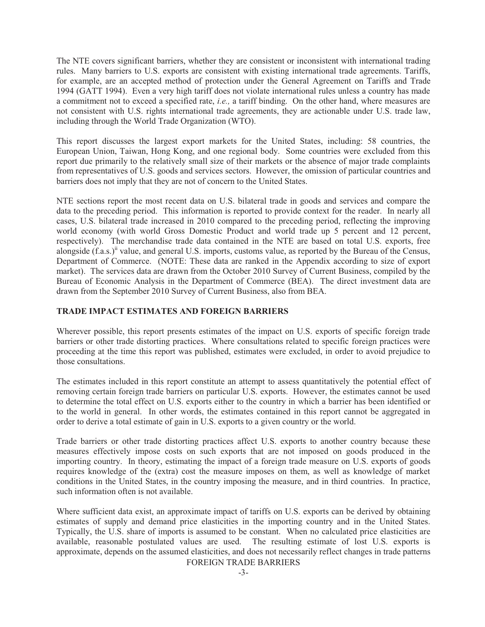The NTE covers significant barriers, whether they are consistent or inconsistent with international trading rules. Many barriers to U.S. exports are consistent with existing international trade agreements. Tariffs, for example, are an accepted method of protection under the General Agreement on Tariffs and Trade 1994 (GATT 1994). Even a very high tariff does not violate international rules unless a country has made a commitment not to exceed a specified rate, *i.e.,* a tariff binding. On the other hand, where measures are not consistent with U.S. rights international trade agreements, they are actionable under U.S. trade law, including through the World Trade Organization (WTO).

This report discusses the largest export markets for the United States, including: 58 countries, the European Union, Taiwan, Hong Kong, and one regional body. Some countries were excluded from this report due primarily to the relatively small size of their markets or the absence of major trade complaints from representatives of U.S. goods and services sectors. However, the omission of particular countries and barriers does not imply that they are not of concern to the United States.

NTE sections report the most recent data on U.S. bilateral trade in goods and services and compare the data to the preceding period. This information is reported to provide context for the reader. In nearly all cases, U.S. bilateral trade increased in 2010 compared to the preceding period, reflecting the improving world economy (with world Gross Domestic Product and world trade up 5 percent and 12 percent, respectively). The merchandise trade data contained in the NTE are based on total U.S. exports, free alongside (f.a.s.)<sup>ii</sup> value, and general U.S. imports, customs value, as reported by the Bureau of the Census, Department of Commerce. (NOTE: These data are ranked in the Appendix according to size of export market). The services data are drawn from the October 2010 Survey of Current Business, compiled by the Bureau of Economic Analysis in the Department of Commerce (BEA). The direct investment data are drawn from the September 2010 Survey of Current Business, also from BEA.

### **TRADE IMPACT ESTIMATES AND FOREIGN BARRIERS**

Wherever possible, this report presents estimates of the impact on U.S. exports of specific foreign trade barriers or other trade distorting practices. Where consultations related to specific foreign practices were proceeding at the time this report was published, estimates were excluded, in order to avoid prejudice to those consultations.

The estimates included in this report constitute an attempt to assess quantitatively the potential effect of removing certain foreign trade barriers on particular U.S. exports. However, the estimates cannot be used to determine the total effect on U.S. exports either to the country in which a barrier has been identified or to the world in general. In other words, the estimates contained in this report cannot be aggregated in order to derive a total estimate of gain in U.S. exports to a given country or the world.

Trade barriers or other trade distorting practices affect U.S. exports to another country because these measures effectively impose costs on such exports that are not imposed on goods produced in the importing country. In theory, estimating the impact of a foreign trade measure on U.S. exports of goods requires knowledge of the (extra) cost the measure imposes on them, as well as knowledge of market conditions in the United States, in the country imposing the measure, and in third countries. In practice, such information often is not available.

Where sufficient data exist, an approximate impact of tariffs on U.S. exports can be derived by obtaining estimates of supply and demand price elasticities in the importing country and in the United States. Typically, the U.S. share of imports is assumed to be constant. When no calculated price elasticities are available, reasonable postulated values are used. The resulting estimate of lost U.S. exports is approximate, depends on the assumed elasticities, and does not necessarily reflect changes in trade patterns

FOREIGN TRADE BARRIERS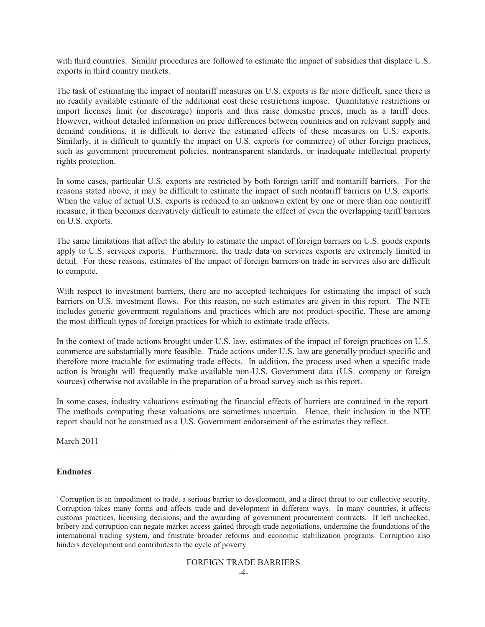with third countries. Similar procedures are followed to estimate the impact of subsidies that displace U.S. exports in third country markets.

The task of estimating the impact of nontariff measures on U.S. exports is far more difficult, since there is no readily available estimate of the additional cost these restrictions impose. Quantitative restrictions or import licenses limit (or discourage) imports and thus raise domestic prices, much as a tariff does. However, without detailed information on price differences between countries and on relevant supply and demand conditions, it is difficult to derive the estimated effects of these measures on U.S. exports. Similarly, it is difficult to quantify the impact on U.S. exports (or commerce) of other foreign practices, such as government procurement policies, nontransparent standards, or inadequate intellectual property rights protection.

In some cases, particular U.S. exports are restricted by both foreign tariff and nontariff barriers. For the reasons stated above, it may be difficult to estimate the impact of such nontariff barriers on U.S. exports. When the value of actual U.S. exports is reduced to an unknown extent by one or more than one nontariff measure, it then becomes derivatively difficult to estimate the effect of even the overlapping tariff barriers on U.S. exports.

The same limitations that affect the ability to estimate the impact of foreign barriers on U.S. goods exports apply to U.S. services exports. Furthermore, the trade data on services exports are extremely limited in detail. For these reasons, estimates of the impact of foreign barriers on trade in services also are difficult to compute.

With respect to investment barriers, there are no accepted techniques for estimating the impact of such barriers on U.S. investment flows. For this reason, no such estimates are given in this report. The NTE includes generic government regulations and practices which are not product-specific. These are among the most difficult types of foreign practices for which to estimate trade effects.

In the context of trade actions brought under U.S. law, estimates of the impact of foreign practices on U.S. commerce are substantially more feasible. Trade actions under U.S. law are generally product-specific and therefore more tractable for estimating trade effects. In addition, the process used when a specific trade action is brought will frequently make available non-U.S. Government data (U.S. company or foreign sources) otherwise not available in the preparation of a broad survey such as this report.

In some cases, industry valuations estimating the financial effects of barriers are contained in the report. The methods computing these valuations are sometimes uncertain. Hence, their inclusion in the NTE report should not be construed as a U.S. Government endorsement of the estimates they reflect.

March 2011

#### **Endnotes**

 $\overline{a}$ 

<sup>i</sup> Corruption is an impediment to trade, a serious barrier to development, and a direct threat to our collective security. Corruption takes many forms and affects trade and development in different ways. In many countries, it affects customs practices, licensing decisions, and the awarding of government procurement contracts. If left unchecked, bribery and corruption can negate market access gained through trade negotiations, undermine the foundations of the international trading system, and frustrate broader reforms and economic stabilization programs. Corruption also hinders development and contributes to the cycle of poverty.

#### FOREIGN TRADE BARRIERS